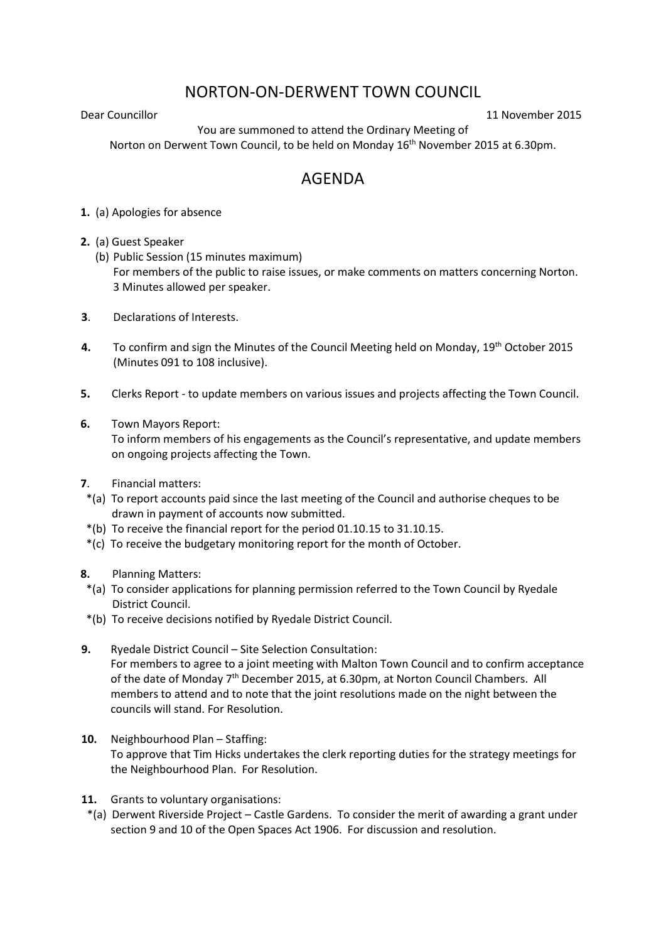## NORTON-ON-DERWENT TOWN COUNCIL

Dear Councillor 11 November 2015

You are summoned to attend the Ordinary Meeting of Norton on Derwent Town Council, to be held on Monday 16<sup>th</sup> November 2015 at 6.30pm.

## AGENDA

- **1.** (a) Apologies for absence
- **2.** (a) Guest Speaker
	- (b) Public Session (15 minutes maximum) For members of the public to raise issues, or make comments on matters concerning Norton. 3 Minutes allowed per speaker.
- **3**. Declarations of Interests.
- **4.** To confirm and sign the Minutes of the Council Meeting held on Monday, 19th October 2015 (Minutes 091 to 108 inclusive).
- **5.** Clerks Report to update members on various issues and projects affecting the Town Council.
- **6.** Town Mayors Report:

 To inform members of his engagements as the Council's representative, and update members on ongoing projects affecting the Town.

- **7**. Financial matters:
- \*(a) To report accounts paid since the last meeting of the Council and authorise cheques to be drawn in payment of accounts now submitted.
- \*(b) To receive the financial report for the period 01.10.15 to 31.10.15.
- \*(c) To receive the budgetary monitoring report for the month of October.
- **8.** Planning Matters:
- \*(a) To consider applications for planning permission referred to the Town Council by Ryedale District Council.
- \*(b) To receive decisions notified by Ryedale District Council.
- **9.** Ryedale District Council Site Selection Consultation: For members to agree to a joint meeting with Malton Town Council and to confirm acceptance of the date of Monday 7<sup>th</sup> December 2015, at 6.30pm, at Norton Council Chambers. All members to attend and to note that the joint resolutions made on the night between the councils will stand. For Resolution.
- **10.** Neighbourhood Plan Staffing: To approve that Tim Hicks undertakes the clerk reporting duties for the strategy meetings for the Neighbourhood Plan. For Resolution.
- **11.** Grants to voluntary organisations:
- \*(a) Derwent Riverside Project Castle Gardens. To consider the merit of awarding a grant under section 9 and 10 of the Open Spaces Act 1906. For discussion and resolution.